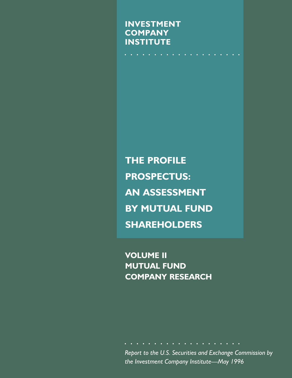**INVESTMENT COMPANY INSTITUTE**

**THE PROFILE PROSPECTUS: AN ASSESSMENT BY MUTUAL FUND SHAREHOLDERS**

**VOLUME II MUTUAL FUND COMPANY RESEARCH**

*Report to the U.S. Securities and Exchange Commission by the Investment Company Institute—May 1996*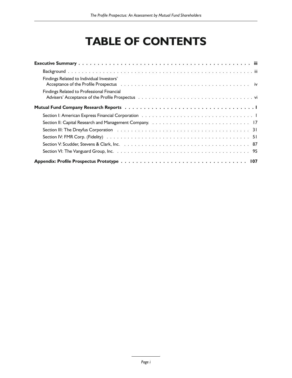# **TABLE OF CONTENTS**

| Findings Related to Individual Investors'                                                                                                                                                                                     |
|-------------------------------------------------------------------------------------------------------------------------------------------------------------------------------------------------------------------------------|
| Findings Related to Professional Financial                                                                                                                                                                                    |
|                                                                                                                                                                                                                               |
| Section I: American Express Financial Corporation (a) and (b) and (b) and (b) and (b) and (b) and (b) and (b) and (b) and (b) and (b) and (b) and (b) and (b) and (b) and (b) and (b) and (b) and (b) and (b) and (b) and (b) |
|                                                                                                                                                                                                                               |
|                                                                                                                                                                                                                               |
|                                                                                                                                                                                                                               |
|                                                                                                                                                                                                                               |
|                                                                                                                                                                                                                               |
|                                                                                                                                                                                                                               |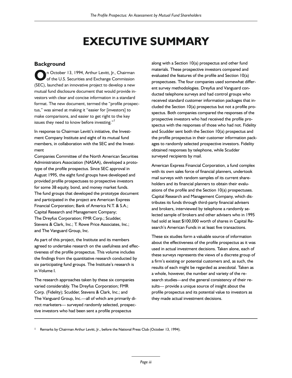# **EXECUTIVE SUMMARY**

# **Background**

**O**n October 13, 1994, Arthur Levitt, Jr., Chairman of the U.S. Securities and Exchange Commission (SEC), launched an innovative project to develop a new n October 13, 1994, Arthur Levitt, Jr., Chairman of the U.S. Securities and Exchange Commission mutual fund disclosure document that would provide investors with clear and concise information in a standard format. The new document, termed the "profile prospectus," was aimed at making it "easier for [investors] to make comparisons, and easier to get right to the key issues they need to know before investing."<sup>1</sup>

In response to Chairman Levitt's initiative, the Investment Company Institute and eight of its mutual fund members, in collaboration with the SEC and the Investment

Companies Committee of the North American Securities Administrators Association (NASAA), developed a prototype of the profile prospectus. Since SEC approval in August 1995, the eight fund groups have developed and provided profile prospectuses to prospective investors for some 38 equity, bond, and money market funds. The fund groups that developed the prototype document and participated in the project are American Express Financial Corporation; Bank of America N.T. & S.A.; Capital Research and Management Company; The Dreyfus Corporation; FMR Corp.; Scudder, Stevens & Clark, Inc.; T. Rowe Price Associates, Inc.; and The Vanguard Group, Inc.

As part of this project, the Institute and its members agreed to undertake research on the usefulness and effectiveness of the profile prospectus. This volume includes the findings from the quantitative research conducted by six participating fund groups. The Institute's research is in Volume I.

The research approaches taken by these six companies varied considerably. The Dreyfus Corporation; FMR Corp. (Fidelity); Scudder, Stevens & Clark, Inc.; and The Vanguard Group, Inc.—all of which are primarily direct marketers— surveyed randomly selected, prospective investors who had been sent a profile prospectus

along with a Section 10(a) prospectus and other fund materials. These prospective investors compared and evaluated the features of the profile and Section 10(a) prospectuses. The four companies used somewhat different survey methodologies. Dreyfus and Vanguard conducted telephone surveys and had control groups who received standard customer information packages that included the Section 10(a) prospectus but not a profile prospectus. Both companies compared the responses of the prospective investors who had received the profile prospectus with the responses of those who had not. Fidelity and Scudder sent both the Section 10(a) prospectus and the profile prospectus in their customer information packages to randomly selected prospective investors. Fidelity obtained responses by telephone, while Scudder surveyed recipients by mail.

American Express Financial Corporation, a fund complex with its own sales force of financial planners, undertook mail surveys with random samples of its current shareholders and its financial planners to obtain their evaluations of the profile and the Section 10(a) prospectuses. Capital Research and Management Company, which distributes its funds through third-party financial advisers and brokers, interviewed by telephone a randomly selected sample of brokers and other advisers who in 1995 had sold at least \$100,000 worth of shares in Capital Research's American Funds in at least five transactions.

These six studies form a valuable source of information about the effectiveness of the profile prospectus as it was used in actual investment decisions. Taken alone, each of these surveys represents the views of a discrete group of a firm's existing or potential customers and, as such, the results of each might be regarded as anecdotal. Taken as a whole, however, the number and variety of the research studies—and the general consistency of their results— provide a unique source of insight about the profile prospectus and its potential value to investors as they made actual investment decisions.

1 Remarks by Chairman Arthur Levitt, Jr., before the National Press Club (October 13, 1994).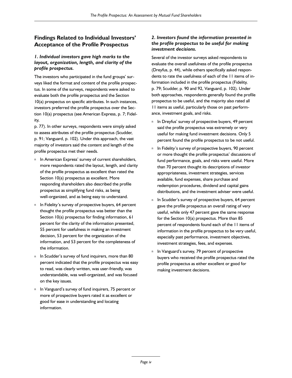# **Findings Related to Individual Investors' Acceptance of the Profile Prospectus**

#### *1. Individual investors gave high marks to the layout, organization, length, and clarity of the profile prospectus.*

The investors who participated in the fund groups' surveys liked the format and content of the profile prospectus. In some of the surveys, respondents were asked to evaluate both the profile prospectus and the Section 10(a) prospectus on specific attributes. In such instances, investors preferred the profile prospectus over the Section 10(a) prospectus (see American Express, p. 7; Fidelity,

p. 77). In other surveys, respondents were simply asked to assess attributes of the profile prospectus (Scudder, p. 91; Vanguard, p. 102). Under this approach, the vast majority of investors said the content and length of the profile prospectus met their needs.

- n In American Express' survey of current shareholders, more respondents rated the layout, length, and clarity of the profile prospectus as excellent than rated the Section 10(a) prospectus as excellent. More responding shareholders also described the profile prospectus as simplifying fund risks, as being well-organized, and as being easy to understand.
- n In Fidelity's survey of prospective buyers, 64 percent thought the profile prospectus was better than the Section 10(a) prospectus for finding information, 61 percent for the clarity of the information presented, 55 percent for usefulness in making an investment decision, 53 percent for the organization of the information, and 53 percent for the completeness of the information.
- n In Scudder's survey of fund inquirers, more than 80 percent indicated that the profile prospectus was easy to read, was clearly written, was user-friendly, was understandable, was well-organized, and was focused on the key issues.
- n In Vanguard's survey of fund inquirers, 75 percent or more of prospective buyers rated it as excellent or good for ease in understanding and locating information.

### *2. Investors found the information presented in the profile prospectus to be useful for making investment decisions.*

Several of the investor surveys asked respondents to evaluate the overall usefulness of the profile prospectus (Dreyfus, p. 44), while others specifically asked respondents to rate the usefulness of each of the 11 items of information included in the profile prospectus (Fidelity, p. 79; Scudder, p. 90 and 92, Vanguard, p. 102). Under both approaches, respondents generally found the profile prospectus to be useful, and the majority also rated all 11 items as useful, particularly those on past performance, investment goals, and risks.

- n In Dreyfus' survey of prospective buyers, 49 percent said the profile prospectus was extremely or very useful for making fund investment decisions. Only 5 percent found the profile prospectus to be not useful.
- n In Fidelity's survey of prospective buyers, 90 percent or more thought the profile prospectus' discussions of fund performance, goals, and risks were useful. More than 70 percent thought its descriptions of investor appropriateness, investment strategies, services available, fund expenses, share purchase and redemption procedures, dividend and capital gains distributions, and the investment adviser were useful.
- n In Scudder's survey of prospective buyers, 64 percent gave the profile prospectus an overall rating of very useful, while only 47 percent gave the same response for the Section 10(a) prospectus. More than 85 percent of respondents found each of the 11 items of information in the profile prospectus to be very useful, especially past performance, investment objectives, investment strategies, fees, and expenses.
- n In Vanguard's survey, 79 percent of prospective buyers who received the profile prospectus rated the profile prospectus as either excellent or good for making investment decisions.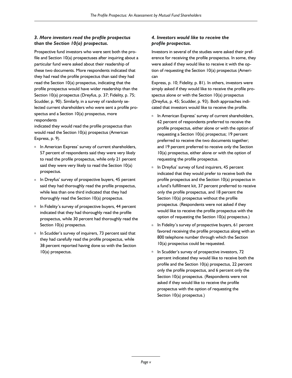## *3. More investors read the profile prospectus than the Section 10(a) prospectus.*

Prospective fund investors who were sent both the profile and Section 10(a) prospectuses after inquiring about a particular fund were asked about their readership of these two documents. More respondents indicated that they had read the profile prospectus than said they had read the Section 10(a) prospectus, indicating that the profile prospectus would have wider readership than the Section 10(a) prospectus (Dreyfus, p. 37; Fidelity, p. 75; Scudder, p. 90). Similarly, in a survey of randomly selected current shareholders who were sent a profile prospectus and a Section 10(a) prospectus, more respondents

indicated they would read the profile prospectus than would read the Section 10(a) prospectus (American Express, p. 9).

- n In American Express' survey of current shareholders, 57 percent of respondents said they were very likely to read the profile prospectus, while only 21 percent said they were very likely to read the Section 10(a) prospectus.
- n In Dreyfus' survey of prospective buyers, 45 percent said they had thoroughly read the profile prospectus, while less than one third indicated that they had thoroughly read the Section 10(a) prospectus.
- n In Fidelity's survey of prospective buyers, 44 percent indicated that they had thoroughly read the profile prospectus, while 30 percent had thoroughly read the Section 10(a) prospectus.
- n In Scudder's survey of inquirers, 73 percent said that they had carefully read the profile prospectus, while 38 percent reported having done so with the Section 10(a) prospectus.

### *4. Investors would like to receive the profile prospectus.*

Investors in several of the studies were asked their preference for receiving the profile prospectus. In some, they were asked if they would like to receive it with the option of requesting the Section 10(a) prospectus (American

Express, p. 10; Fidelity, p. 81). In others, investors were simply asked if they would like to receive the profile prospectus alone or with the Section 10(a) prospectus (Dreyfus, p. 45; Scudder, p. 93). Both approaches indicated that investors would like to receive the profile.

- n In American Express' survey of current shareholders, 62 percent of respondents preferred to receive the profile prospectus, either alone or with the option of requesting a Section 10(a) prospectus; 19 percent preferred to receive the two documents together; and 19 percent preferred to receive only the Section 10(a) prospectus, either alone or with the option of requesting the profile prospectus.
- n In Dreyfus' survey of fund inquirers, 45 percent indicated that they would prefer to receive both the profile prospectus and the Section 10(a) prospectus in a fund's fulfillment kit, 37 percent preferred to receive only the profile prospectus, and 18 percent the Section 10(a) prospectus without the profile prospectus. (Respondents were not asked if they would like to receive the profile prospectus with the option of requesting the Section 10(a) prospectus.)
- n In Fidelity's survey of prospective buyers, 61 percent favored receiving the profile prospectus along with an 800 telephone number through which the Section 10(a) prospectus could be requested.
- n In Scudder's survey of prospective investors, 72 percent indicated they would like to receive both the profile and the Section 10(a) prospectus, 22 percent only the profile prospectus, and 6 percent only the Section 10(a) prospectus. (Respondents were not asked if they would like to receive the profile prospectus with the option of requesting the Section 10(a) prospectus.)